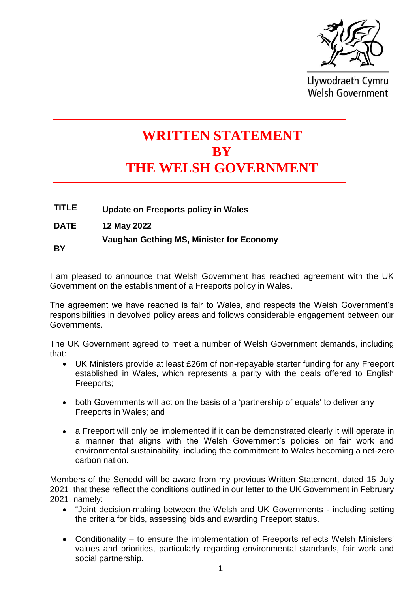

Llywodraeth Cymru **Welsh Government** 

## **WRITTEN STATEMENT BY THE WELSH GOVERNMENT**

**TITLE Update on Freeports policy in Wales**

**DATE 12 May 2022**

## **Vaughan Gething MS, Minister for Economy**

**BY**

I am pleased to announce that Welsh Government has reached agreement with the UK Government on the establishment of a Freeports policy in Wales.

The agreement we have reached is fair to Wales, and respects the Welsh Government's responsibilities in devolved policy areas and follows considerable engagement between our Governments.

The UK Government agreed to meet a number of Welsh Government demands, including that:

- UK Ministers provide at least £26m of non-repayable starter funding for any Freeport established in Wales, which represents a parity with the deals offered to English Freeports;
- both Governments will act on the basis of a 'partnership of equals' to deliver any Freeports in Wales; and
- a Freeport will only be implemented if it can be demonstrated clearly it will operate in a manner that aligns with the Welsh Government's policies on fair work and environmental sustainability, including the commitment to Wales becoming a net-zero carbon nation.

Members of the Senedd will be aware from my previous Written Statement, dated 15 July 2021, that these reflect the conditions outlined in our letter to the UK Government in February 2021, namely:

- "Joint decision-making between the Welsh and UK Governments including setting the criteria for bids, assessing bids and awarding Freeport status.
- Conditionality to ensure the implementation of Freeports reflects Welsh Ministers' values and priorities, particularly regarding environmental standards, fair work and social partnership.